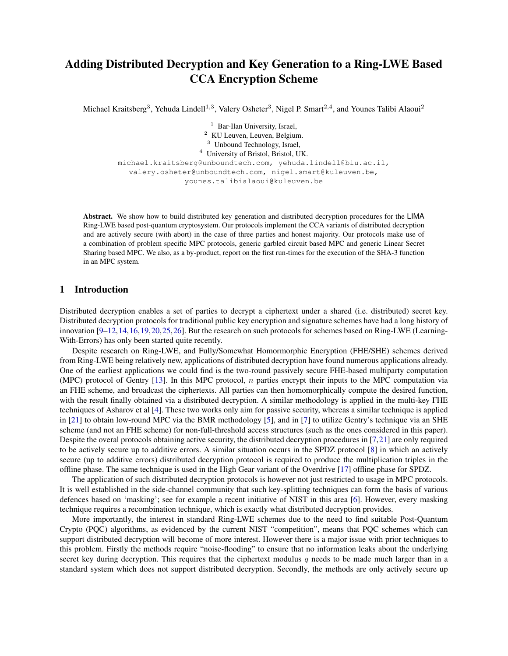# Adding Distributed Decryption and Key Generation to a Ring-LWE Based CCA Encryption Scheme

Michael Kraitsberg<sup>3</sup>, Yehuda Lindell<sup>1,3</sup>, Valery Osheter<sup>3</sup>, Nigel P. Smart<sup>2,4</sup>, and Younes Talibi Alaoui<sup>2</sup>

<sup>1</sup> Bar-Ilan University, Israel, KU Leuven, Leuven, Belgium. Unbound Technology, Israel, University of Bristol, Bristol, UK.

michael.kraitsberg@unboundtech.com, yehuda.lindell@biu.ac.il, valery.osheter@unboundtech.com, nigel.smart@kuleuven.be, younes.talibialaoui@kuleuven.be

Abstract. We show how to build distributed key generation and distributed decryption procedures for the LIMA Ring-LWE based post-quantum cryptosystem. Our protocols implement the CCA variants of distributed decryption and are actively secure (with abort) in the case of three parties and honest majority. Our protocols make use of a combination of problem specific MPC protocols, generic garbled circuit based MPC and generic Linear Secret Sharing based MPC. We also, as a by-product, report on the first run-times for the execution of the SHA-3 function in an MPC system.

## 1 Introduction

Distributed decryption enables a set of parties to decrypt a ciphertext under a shared (i.e. distributed) secret key. Distributed decryption protocols for traditional public key encryption and signature schemes have had a long history of innovation [\[9–](#page-13-0)[12,](#page-13-1)[14,](#page-14-0)[16,](#page-14-1)[19,](#page-14-2)[20,](#page-14-3)[25,](#page-14-4)[26\]](#page-14-5). But the research on such protocols for schemes based on Ring-LWE (Learning-With-Errors) has only been started quite recently.

Despite research on Ring-LWE, and Fully/Somewhat Homormorphic Encryption (FHE/SHE) schemes derived from Ring-LWE being relatively new, applications of distributed decryption have found numerous applications already. One of the earliest applications we could find is the two-round passively secure FHE-based multiparty computation (MPC) protocol of Gentry  $[13]$ . In this MPC protocol, n parties encrypt their inputs to the MPC computation via an FHE scheme, and broadcast the ciphertexts. All parties can then homomorphically compute the desired function, with the result finally obtained via a distributed decryption. A similar methodology is applied in the multi-key FHE techniques of Asharov et al [\[4\]](#page-13-2). These two works only aim for passive security, whereas a similar technique is applied in [\[21\]](#page-14-7) to obtain low-round MPC via the BMR methodology [\[5\]](#page-13-3), and in [\[7\]](#page-13-4) to utilize Gentry's technique via an SHE scheme (and not an FHE scheme) for non-full-threshold access structures (such as the ones considered in this paper). Despite the overal protocols obtaining active security, the distributed decryption procedures in [\[7,](#page-13-4)[21\]](#page-14-7) are only required to be actively secure up to additive errors. A similar situation occurs in the SPDZ protocol [\[8\]](#page-13-5) in which an actively secure (up to additive errors) distributed decryption protocol is required to produce the multiplication triples in the offline phase. The same technique is used in the High Gear variant of the Overdrive [\[17\]](#page-14-8) offline phase for SPDZ.

The application of such distributed decryption protocols is however not just restricted to usage in MPC protocols. It is well established in the side-channel community that such key-splitting techniques can form the basis of various defences based on 'masking'; see for example a recent initiative of NIST in this area [\[6\]](#page-13-6). However, every masking technique requires a recombination technique, which is exactly what distributed decryption provides.

More importantly, the interest in standard Ring-LWE schemes due to the need to find suitable Post-Quantum Crypto (PQC) algorithms, as evidenced by the current NIST "competition", means that PQC schemes which can support distributed decryption will become of more interest. However there is a major issue with prior techniques to this problem. Firstly the methods require "noise-flooding" to ensure that no information leaks about the underlying secret key during decryption. This requires that the ciphertext modulus  $q$  needs to be made much larger than in a standard system which does not support distributed decryption. Secondly, the methods are only actively secure up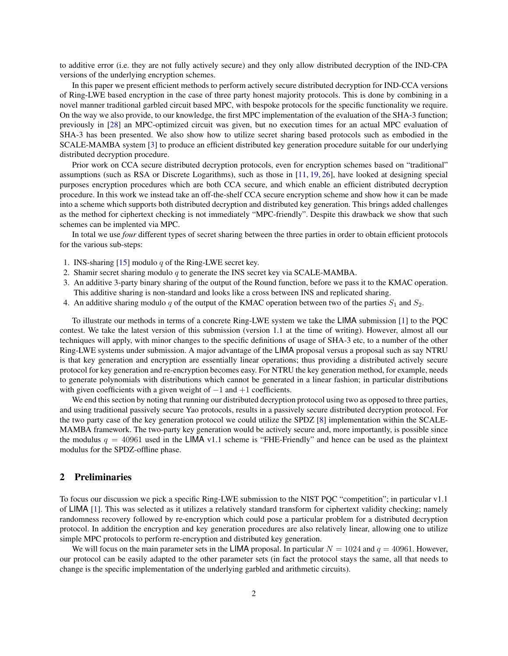to additive error (i.e. they are not fully actively secure) and they only allow distributed decryption of the IND-CPA versions of the underlying encryption schemes.

In this paper we present efficient methods to perform actively secure distributed decryption for IND-CCA versions of Ring-LWE based encryption in the case of three party honest majority protocols. This is done by combining in a novel manner traditional garbled circuit based MPC, with bespoke protocols for the specific functionality we require. On the way we also provide, to our knowledge, the first MPC implementation of the evaluation of the SHA-3 function; previously in [\[28\]](#page-14-9) an MPC-optimized circuit was given, but no execution times for an actual MPC evaluation of SHA-3 has been presented. We also show how to utilize secret sharing based protocols such as embodied in the SCALE-MAMBA system [\[3\]](#page-13-7) to produce an efficient distributed key generation procedure suitable for our underlying distributed decryption procedure.

Prior work on CCA secure distributed decryption protocols, even for encryption schemes based on "traditional" assumptions (such as RSA or Discrete Logarithms), such as those in [\[11,](#page-13-8) [19,](#page-14-2) [26\]](#page-14-5), have looked at designing special purposes encryption procedures which are both CCA secure, and which enable an efficient distributed decryption procedure. In this work we instead take an off-the-shelf CCA secure encryption scheme and show how it can be made into a scheme which supports both distributed decryption and distributed key generation. This brings added challenges as the method for ciphertext checking is not immediately "MPC-friendly". Despite this drawback we show that such schemes can be implented via MPC.

In total we use *four* different types of secret sharing between the three parties in order to obtain efficient protocols for the various sub-steps:

- 1. INS-sharing [\[15\]](#page-14-10) modulo  $q$  of the Ring-LWE secret key.
- 2. Shamir secret sharing modulo  $q$  to generate the INS secret key via SCALE-MAMBA.
- 3. An additive 3-party binary sharing of the output of the Round function, before we pass it to the KMAC operation. This additive sharing is non-standard and looks like a cross between INS and replicated sharing.
- 4. An additive sharing modulo q of the output of the KMAC operation between two of the parties  $S_1$  and  $S_2$ .

To illustrate our methods in terms of a concrete Ring-LWE system we take the LIMA submission [\[1\]](#page-13-9) to the PQC contest. We take the latest version of this submission (version 1.1 at the time of writing). However, almost all our techniques will apply, with minor changes to the specific definitions of usage of SHA-3 etc, to a number of the other Ring-LWE systems under submission. A major advantage of the LIMA proposal versus a proposal such as say NTRU is that key generation and encryption are essentially linear operations; thus providing a distributed actively secure protocol for key generation and re-encryption becomes easy. For NTRU the key generation method, for example, needs to generate polynomials with distributions which cannot be generated in a linear fashion; in particular distributions with given coefficients with a given weight of  $-1$  and  $+1$  coefficients.

We end this section by noting that running our distributed decryption protocol using two as opposed to three parties, and using traditional passively secure Yao protocols, results in a passively secure distributed decryption protocol. For the two party case of the key generation protocol we could utilize the SPDZ [\[8\]](#page-13-5) implementation within the SCALE-MAMBA framework. The two-party key generation would be actively secure and, more importantly, is possible since the modulus  $q = 40961$  used in the LIMA v1.1 scheme is "FHE-Friendly" and hence can be used as the plaintext modulus for the SPDZ-offline phase.

## 2 Preliminaries

To focus our discussion we pick a specific Ring-LWE submission to the NIST PQC "competition"; in particular v1.1 of LIMA [\[1\]](#page-13-9). This was selected as it utilizes a relatively standard transform for ciphertext validity checking; namely randomness recovery followed by re-encryption which could pose a particular problem for a distributed decryption protocol. In addition the encryption and key generation procedures are also relatively linear, allowing one to utilize simple MPC protocols to perform re-encryption and distributed key generation.

We will focus on the main parameter sets in the LIMA proposal. In particular  $N = 1024$  and  $q = 40961$ . However, our protocol can be easily adapted to the other parameter sets (in fact the protocol stays the same, all that needs to change is the specific implementation of the underlying garbled and arithmetic circuits).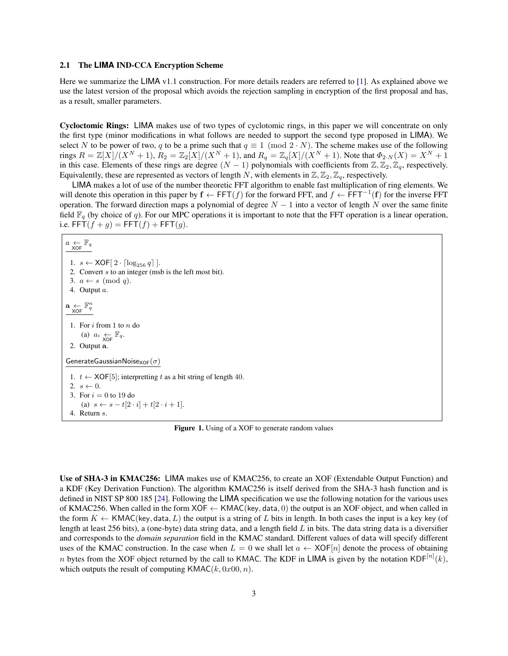#### 2.1 The **LIMA** IND-CCA Encryption Scheme

Here we summarize the LIMA v1.1 construction. For more details readers are referred to [\[1\]](#page-13-9). As explained above we use the latest version of the proposal which avoids the rejection sampling in encryption of the first proposal and has, as a result, smaller parameters.

Cycloctomic Rings: LIMA makes use of two types of cyclotomic rings, in this paper we will concentrate on only the first type (minor modifications in what follows are needed to support the second type proposed in LIMA). We select N to be power of two, q to be a prime such that  $q \equiv 1 \pmod{2 \cdot N}$ . The scheme makes use of the following rings  $R = \mathbb{Z}[X]/(X^N + 1)$ ,  $R_2 = \mathbb{Z}_2[X]/(X^N + 1)$ , and  $R_q = \mathbb{Z}_q[X]/(X^N + 1)$ . Note that  $\Phi_{2,N}(X) = X^N + 1$ in this case. Elements of these rings are degree  $(N - 1)$  polynomials with coefficients from  $\mathbb{Z}, \mathbb{Z}_2, \mathbb{Z}_q$ , respectively. Equivalently, these are represented as vectors of length N, with elements in  $\mathbb{Z}, \mathbb{Z}_2, \mathbb{Z}_q$ , respectively.

LIMA makes a lot of use of the number theoretic FFT algorithm to enable fast multiplication of ring elements. We will denote this operation in this paper by  $f \leftarrow \text{FFT}(f)$  for the forward FFT, and  $f \leftarrow \text{FFT}^{-1}(f)$  for the inverse FFT operation. The forward direction maps a polynomial of degree  $N - 1$  into a vector of length N over the same finite field  $\mathbb{F}_q$  (by choice of q). For our MPC operations it is important to note that the FFT operation is a linear operation, i.e.  $FFT(f + g) = FFT(f) + FFT(g)$ .

 $a \underset{\mathsf{XOF}}{\leftarrow} \mathbb{F}_q$ 1.  $s \leftarrow \text{XOF}[2 \cdot \lceil \log_{256} q \rceil].$ 2. Convert s to an integer (msb is the left most bit). 3.  $a \leftarrow s \pmod{q}$ . 4. Output a.  $\mathbf{a} \underset{\mathsf{XOF}}{\leftarrow} \mathbb{F}_q^n$ 1. For i from 1 to n do (a)  $a_i \underset{\text{XOF}}{\leftarrow} \mathbb{F}_q$ . 2. Output a. GenerateGaussianNoise $_{XOF}(\sigma)$ 1.  $t \leftarrow \text{XOF}[5]$ ; interpretting t as a bit string of length 40. 2.  $s \leftarrow 0$ . 3. For  $i = 0$  to 19 do (a)  $s \leftarrow s - t[2 \cdot i] + t[2 \cdot i + 1].$ 4. Return s.

<span id="page-2-0"></span>Figure 1. Using of a XOF to generate random values

Use of SHA-3 in KMAC256: LIMA makes use of KMAC256, to create an XOF (Extendable Output Function) and a KDF (Key Derivation Function). The algorithm KMAC256 is itself derived from the SHA-3 hash function and is defined in NIST SP 800 185 [\[24\]](#page-14-11). Following the LIMA specification we use the following notation for the various uses of KMAC256. When called in the form  $XOF \leftarrow KMAC(key, data, 0)$  the output is an XOF object, and when called in the form  $K \leftarrow \text{KMAC}(\text{key}, \text{data}, L)$  the output is a string of L bits in length. In both cases the input is a key key (of length at least 256 bits), a (one-byte) data string data, and a length field  $L$  in bits. The data string data is a diversifier and corresponds to the *domain separation* field in the KMAC standard. Different values of data will specify different uses of the KMAC construction. In the case when  $L = 0$  we shall let  $a \leftarrow \text{XOF}[n]$  denote the process of obtaining n bytes from the XOF object returned by the call to KMAC. The KDF in LIMA is given by the notation KDF $^{[n]}(k)$ , which outputs the result of computing  $KMAC(k, 0x00, n)$ .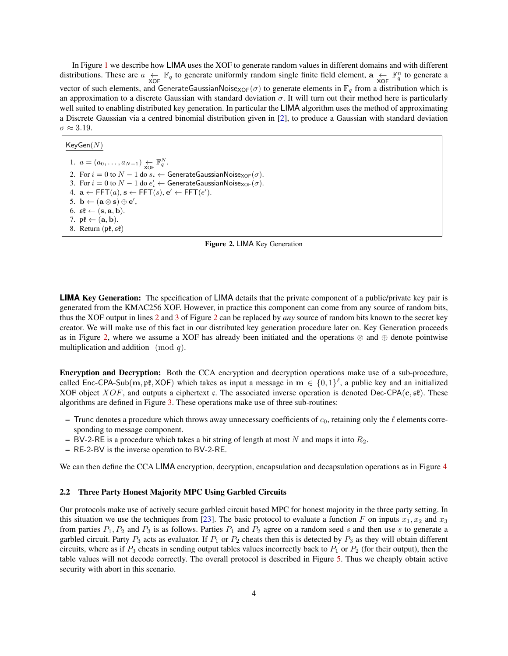In Figure [1](#page-2-0) we describe how LIMA uses the XOF to generate random values in different domains and with different distributions. These are  $a \leftarrow \text{Kq}$  to generate uniformly random single finite field element,  $a \leftarrow \text{XOF}$  $\mathbb{F}_q^n$  to generate a vector of such elements, and GenerateGaussianNoise<sub>XOF</sub>( $\sigma$ ) to generate elements in  $\mathbb{F}_q$  from a distribution which is an approximation to a discrete Gaussian with standard deviation  $\sigma$ . It will turn out their method here is particularly well suited to enabling distributed key generation. In particular the LIMA algorithm uses the method of approximating a Discrete Gaussian via a centred binomial distribution given in [\[2\]](#page-13-10), to produce a Gaussian with standard deviation  $\sigma \approx 3.19$ .

 $KeyGen(N)$ 

<span id="page-3-1"></span><span id="page-3-0"></span>1.  $a = (a_0, \ldots, a_{N-1}) \underset{\text{XOF}}{\leftarrow} \mathbb{F}_q^N$ . 2. For  $i = 0$  to  $N - 1$  do  $s_i \leftarrow$  GenerateGaussianNoise<sub>XOF</sub>( $\sigma$ ). 3. For  $i=0$  to  $N-1$  do  $e'_i \leftarrow$  GenerateGaussianNoise<sub>XOF</sub> $(\sigma)$ . 4.  $\mathbf{a} \leftarrow \mathsf{FFT}(a), \mathbf{s} \leftarrow \mathsf{FFT}(s), \mathbf{e}' \leftarrow \mathsf{FFT}(e').$ 5.  $\mathbf{b} \leftarrow (\mathbf{a} \otimes \mathbf{s}) \oplus \mathbf{e}',$ 6.  $\mathfrak{st} \leftarrow (\mathbf{s}, \mathbf{a}, \mathbf{b}).$ 7.  $\mathfrak{pk} \leftarrow (\mathbf{a}, \mathbf{b}).$ 8. Return  $(\mathfrak{pk}, \mathfrak{sk})$ 

<span id="page-3-2"></span>

**LIMA** Key Generation: The specification of LIMA details that the private component of a public/private key pair is generated from the KMAC256 XOF. However, in practice this component can come from any source of random bits, thus the XOF output in lines [2](#page-3-0) and [3](#page-3-1) of Figure [2](#page-3-2) can be replaced by *any* source of random bits known to the secret key creator. We will make use of this fact in our distributed key generation procedure later on. Key Generation proceeds as in Figure [2,](#page-3-2) where we assume a XOF has already been initiated and the operations  $\otimes$  and  $\oplus$  denote pointwise multiplication and addition (mod  $q$ ).

Encryption and Decryption: Both the CCA encryption and decryption operations make use of a sub-procedure, called Enc-CPA-Sub(m, pt, XOF) which takes as input a message in  $m \in \{0,1\}^{\ell}$ , a public key and an initialized XOF object  $XOF$ , and outputs a ciphertext c. The associated inverse operation is denoted Dec-CPA(c, st). These algorithms are defined in Figure [3.](#page-4-0) These operations make use of three sub-routines:

- Trunc denotes a procedure which throws away unnecessary coefficients of  $c_0$ , retaining only the  $\ell$  elements corresponding to message component.
- BV-2-RE is a procedure which takes a bit string of length at most N and maps it into  $R_2$ .
- RE-2-BV is the inverse operation to BV-2-RE.

We can then define the CCA LIMA encryption, decryption, encapsulation and decapsulation operations as in Figure [4](#page-5-0)

#### 2.2 Three Party Honest Majority MPC Using Garbled Circuits

Our protocols make use of actively secure garbled circuit based MPC for honest majority in the three party setting. In this situation we use the techniques from [\[23\]](#page-14-12). The basic protocol to evaluate a function F on inputs  $x_1, x_2$  and  $x_3$ from parties  $P_1$ ,  $P_2$  and  $P_3$  is as follows. Parties  $P_1$  and  $P_2$  agree on a random seed s and then use s to generate a garbled circuit. Party  $P_3$  acts as evaluator. If  $P_1$  or  $P_2$  cheats then this is detected by  $P_3$  as they will obtain different circuits, where as if  $P_3$  cheats in sending output tables values incorrectly back to  $P_1$  or  $P_2$  (for their output), then the table values will not decode correctly. The overall protocol is described in Figure [5.](#page-6-0) Thus we cheaply obtain active security with abort in this scenario.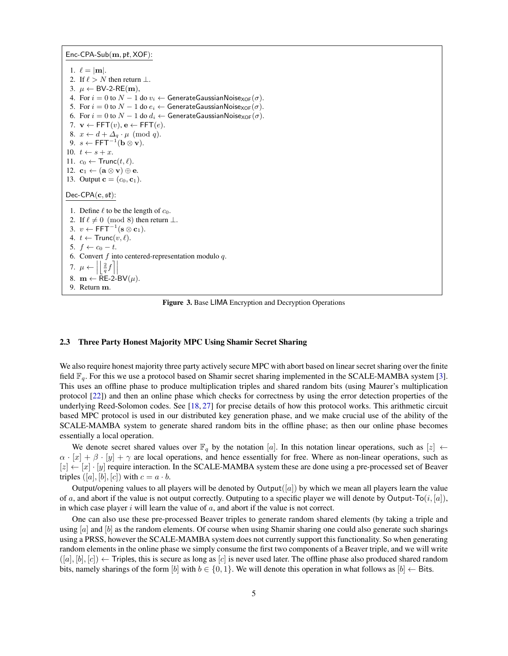$Enc\text{-}CPA\text{-}Sub(m, \mathfrak{pk}, \text{XOF})$ : 1.  $\ell = |m|$ . 2. If  $\ell > N$  then return  $\perp$ . 3.  $\mu$  ← BV-2-RE(m), 4. For  $i = 0$  to  $N - 1$  do  $v_i \leftarrow$  Generate Gaussian Noise<sub>XOF</sub>  $(\sigma)$ . 5. For  $i = 0$  to  $N - 1$  do  $e_i \leftarrow$  GenerateGaussianNoise<sub>XOF</sub> $(\sigma)$ . 6. For  $i = 0$  to  $N - 1$  do  $d_i \leftarrow$  GenerateGaussianNoise<sub>XOF</sub>( $\sigma$ ). 7.  $\mathbf{v} \leftarrow \mathsf{FFT}(v), \mathbf{e} \leftarrow \mathsf{FFT}(e).$ 8.  $x \leftarrow d + \Delta_q \cdot \mu \pmod{q}$ . 9.  $s \leftarrow \mathsf{FFT}^{-1}(\mathbf{b} \otimes \mathbf{v}).$ 10.  $t \leftarrow s + x$ . 11.  $c_0 \leftarrow \text{Trunc}(t, \ell)$ . 12.  $\mathbf{c}_1 \leftarrow (\mathbf{a} \otimes \mathbf{v}) \oplus \mathbf{e}.$ 13. Output **c** =  $(c_0, c_1)$ .  $Dec-CPA(c, s$ ť): 1. Define  $\ell$  to be the length of  $c_0$ . 2. If  $\ell \neq 0 \pmod{8}$  then return  $\perp$ . 3.  $v \leftarrow \mathsf{FFT}^{-1}(\mathbf{s} \otimes \mathbf{c}_1).$ 4.  $t \leftarrow \text{Trunc}(v, \ell)$ . 5.  $f \leftarrow c_0 - t$ . 6. Convert  $f$  into centered-representation modulo  $q$ . 7.  $\mu$ I I 8. m  $\leftarrow$  RE-2-BV( $\mu$ ).  $\left| \frac{2}{q} f \right|$  $\overline{\phantom{a}}$ 9. Return m.

<span id="page-4-0"></span>Figure 3. Base LIMA Encryption and Decryption Operations

#### 2.3 Three Party Honest Majority MPC Using Shamir Secret Sharing

We also require honest majority three party actively secure MPC with abort based on linear secret sharing over the finite field  $\mathbb{F}_q$ . For this we use a protocol based on Shamir secret sharing implemented in the SCALE-MAMBA system [\[3\]](#page-13-7). This uses an offline phase to produce multiplication triples and shared random bits (using Maurer's multiplication protocol [\[22\]](#page-14-13)) and then an online phase which checks for correctness by using the error detection properties of the underlying Reed-Solomon codes. See [\[18,](#page-14-14) [27\]](#page-14-15) for precise details of how this protocol works. This arithmetic circuit based MPC protocol is used in our distributed key generation phase, and we make crucial use of the ability of the SCALE-MAMBA system to generate shared random bits in the offline phase; as then our online phase becomes essentially a local operation.

We denote secret shared values over  $\mathbb{F}_q$  by the notation [a]. In this notation linear operations, such as  $|z| \leftarrow$  $\alpha \cdot |x| + \beta \cdot |y| + \gamma$  are local operations, and hence essentially for free. Where as non-linear operations, such as  $[z] \leftarrow [x] \cdot [y]$  require interaction. In the SCALE-MAMBA system these are done using a pre-processed set of Beaver triples  $([a], [b], [c])$  with  $c = a \cdot b$ .

Output/opening values to all players will be denoted by Output( $[a]$ ) by which we mean all players learn the value of a, and abort if the value is not output correctly. Outputing to a specific player we will denote by Output-To $(i, [a])$ , in which case player  $i$  will learn the value of  $a$ , and abort if the value is not correct.

One can also use these pre-processed Beaver triples to generate random shared elements (by taking a triple and using  $[a]$  and  $[b]$  as the random elements. Of course when using Shamir sharing one could also generate such sharings using a PRSS, however the SCALE-MAMBA system does not currently support this functionality. So when generating random elements in the online phase we simply consume the first two components of a Beaver triple, and we will write  $([a], [b], [c]) \leftarrow$  Triples, this is secure as long as  $[c]$  is never used later. The offline phase also produced shared random bits, namely sharings of the form [b] with  $b \in \{0, 1\}$ . We will denote this operation in what follows as  $[b] \leftarrow$  Bits.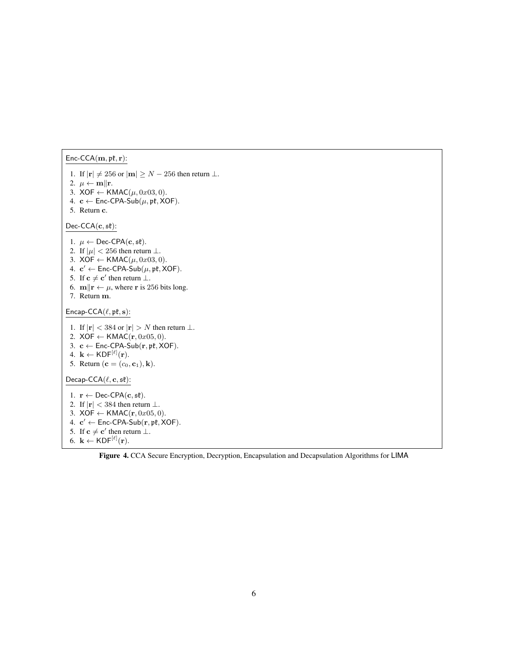### $Enc-CCA(\mathbf{m}, \mathfrak{pk}, \mathbf{r})$ :

1. If  $|\mathbf{r}| \neq 256$  or  $|\mathbf{m}| \geq N - 256$  then return  $\perp$ . 2.  $\mu \leftarrow m || \mathbf{r}$ . 3.  $XOF \leftarrow KMAC(\mu, 0x03, 0)$ . 4.  $c \leftarrow$  Enc-CPA-Sub $(\mu, \mathfrak{pk}, \mathsf{XOF})$ . 5. Return c.  $Dec-CCA(c, st):$ 1.  $\mu \leftarrow$  Dec-CPA(c, st). 2. If  $|\mu| < 256$  then return  $\perp$ . 3.  $XOF \leftarrow KMAC(\mu, 0x03, 0).$ 4.  $\mathbf{c}' \leftarrow \mathsf{Enc\text{-}CPA\text{-}Sub}(\mu, \mathfrak{pk}, \mathsf{XOF}).$ 5. If  $c \neq c'$  then return  $\perp$ . 6.  $\mathbf{m} \|\mathbf{r} \leftarrow \mu$ , where r is 256 bits long. 7. Return m. Encap-CCA $(\ell, \mathfrak{pk}, \mathbf{s})$ : 1. If  $|\mathbf{r}| < 384$  or  $|\mathbf{r}| > N$  then return  $\perp$ . 2.  $XOF \leftarrow KMAC(r, 0x05, 0)$ . 3.  $c \leftarrow$  Enc-CPA-Sub $(r, pt, XOR)$ . 4.  $k \leftarrow \mathsf{KDF}^{[\ell]}(\mathbf{r}).$ 5. Return ( ${\bf c} = (c_0, {\bf c}_1), {\bf k}$ ).  $Decap-CCA(\ell, \mathbf{c}, \mathfrak{s}\mathfrak{k})$ : 1.  $\mathbf{r} \leftarrow \text{Dec-CPA}(\mathbf{c}, \mathfrak{s}\mathfrak{k}).$ 2. If  $|\mathbf{r}| < 384$  then return  $\perp$ . 3.  $XOF \leftarrow KMAC(r, 0x05, 0)$ . 4.  $c' \leftarrow$  Enc-CPA-Sub $(r, pt, XOR)$ . 5. If  $c \neq c'$  then return  $\perp$ . 6.  $k \leftarrow \mathsf{KDF}^{[\ell]}(\mathbf{r}).$ 

<span id="page-5-0"></span>Figure 4. CCA Secure Encryption, Decryption, Encapsulation and Decapsulation Algorithms for LIMA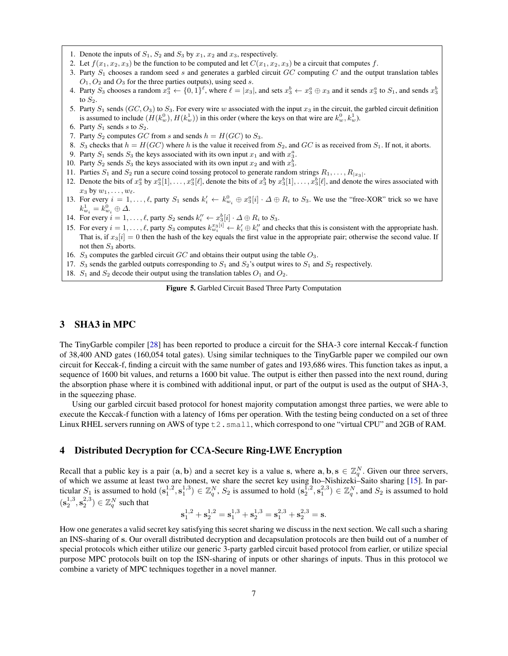- 1. Denote the inputs of  $S_1$ ,  $S_2$  and  $S_3$  by  $x_1$ ,  $x_2$  and  $x_3$ , respectively.
- 2. Let  $f(x_1, x_2, x_3)$  be the function to be computed and let  $C(x_1, x_2, x_3)$  be a circuit that computes f.
- 3. Party  $S_1$  chooses a random seed s and generates a garbled circuit  $GC$  computing  $C$  and the output translation tables  $O_1$ ,  $O_2$  and  $O_3$  for the three parties outputs), using seed s.
- 4. Party  $S_3$  chooses a random  $x_3^a \leftarrow \{0,1\}^{\ell}$ , where  $\ell = |x_3|$ , and sets  $x_3^b \leftarrow x_3^a \oplus x_3$  and it sends  $x_3^a$  to  $S_1$ , and sends  $x_3^b$ to  $S_2$ .
- 5. Party  $S_1$  sends  $(GC, O_3)$  to  $S_3$ . For every wire w associated with the input  $x_3$  in the circuit, the garbled circuit definition is assumed to include  $(H(k_w^0), H(k_w^1))$  in this order (where the keys on that wire are  $k_w^0, k_w^1$ ).
- 6. Party  $S_1$  sends s to  $S_2$ .
- 7. Party  $S_2$  computes GC from s and sends  $h = H(GC)$  to  $S_3$ .
- 8.  $S_3$  checks that  $h = H(GC)$  where h is the value it received from  $S_2$ , and  $GC$  is as received from  $S_1$ . If not, it aborts.
- 9. Party  $S_1$  sends  $S_3$  the keys associated with its own input  $x_1$  and with  $x_3^a$ .
- 10. Party  $S_2$  sends  $S_3$  the keys associated with its own input  $x_2$  and with  $x_3^b$ .
- 11. Parties  $S_1$  and  $S_2$  run a secure coind tossing protocol to generate random strings  $R_1, \ldots, R_{|x_3|}$ .
- 12. Denote the bits of  $x_3^a$  by  $x_3^a[1], \ldots, x_3^a[\ell]$ , denote the bits of  $x_3^b$  by  $x_3^b[1], \ldots, x_3^b[\ell]$ , and denote the wires associated with  $x_3$  by  $w_1, \ldots, w_\ell$ .
- 13. For every  $i = 1, \ldots, \ell$ , party  $S_1$  sends  $k'_i \leftarrow k_{w_i}^0 \oplus x_3^a[i] \cdot \Delta \oplus R_i$  to  $S_3$ . We use the "free-XOR" trick so we have  $k^1_{w_i} = k^0_{w_i} \oplus \Delta.$
- 14. For every  $i = 1, ..., \ell$ , party  $S_2$  sends  $k''_i \leftarrow x_3^b[i] \cdot \Delta \oplus R_i$  to  $S_3$ .
- 15. For every  $i = 1, \ldots, \ell$ , party  $S_3$  computes  $k_{w_i}^{x_3[i]} \leftarrow k_i' \oplus k_i''$  and checks that this is consistent with the appropriate hash. That is, if  $x_3[i] = 0$  then the hash of the key equals the first value in the appropriate pair; otherwise the second value. If not then  $S_3$  aborts.
- 16.  $S_3$  computes the garbled circuit  $GC$  and obtains their output using the table  $O_3$ .
- 17.  $S_3$  sends the garbled outputs corresponding to  $S_1$  and  $S_2$ 's output wires to  $S_1$  and  $S_2$  respectively.
- 18.  $S_1$  and  $S_2$  decode their output using the translation tables  $O_1$  and  $O_2$ .

#### <span id="page-6-0"></span>Figure 5. Garbled Circuit Based Three Party Computation

## 3 SHA3 in MPC

The TinyGarble compiler [\[28\]](#page-14-9) has been reported to produce a circuit for the SHA-3 core internal Keccak-f function of 38,400 AND gates (160,054 total gates). Using similar techniques to the TinyGarble paper we compiled our own circuit for Keccak-f, finding a circuit with the same number of gates and 193,686 wires. This function takes as input, a sequence of 1600 bit values, and returns a 1600 bit value. The output is either then passed into the next round, during the absorption phase where it is combined with additional input, or part of the output is used as the output of SHA-3, in the squeezing phase.

Using our garbled circuit based protocol for honest majority computation amongst three parties, we were able to execute the Keccak-f function with a latency of 16ms per operation. With the testing being conducted on a set of three Linux RHEL servers running on AWS of type  $\pm 2$ . small, which correspond to one "virtual CPU" and 2GB of RAM.

## 4 Distributed Decryption for CCA-Secure Ring-LWE Encryption

Recall that a public key is a pair  $(a, b)$  and a secret key is a value s, where  $a, b, s \in \mathbb{Z}_q^N$ . Given our three servers, of which we assume at least two are honest, we share the secret key using Ito–Nishizeki–Saito sharing [\[15\]](#page-14-10). In particular  $S_1$  is assumed to hold  $(\mathbf{s}_1^{1,2}, \mathbf{s}_1^{1,3}) \in \mathbb{Z}_q^N$ ,  $S_2$  is assumed to hold  $(\mathbf{s}_2^{1,2}, \mathbf{s}_1^{2,3}) \in \mathbb{Z}_q^N$ , and  $S_2$  is assumed to hold  $(\mathbf{s}_2^{1,3}, \mathbf{s}_2^{2,3}) \in \mathbb{Z}_q^N$  such that

$$
\mathbf{s}_1^{1,2} + \mathbf{s}_2^{1,2} = \mathbf{s}_1^{1,3} + \mathbf{s}_2^{1,3} = \mathbf{s}_1^{2,3} + \mathbf{s}_2^{2,3} = \mathbf{s}.
$$

How one generates a valid secret key satisfying this secret sharing we discuss in the next section. We call such a sharing an INS-sharing of s. Our overall distributed decryption and decapsulation protocols are then build out of a number of special protocols which either utilize our generic 3-party garbled circuit based protocol from earlier, or utilize special purpose MPC protocols built on top the ISN-sharing of inputs or other sharings of inputs. Thus in this protocol we combine a variety of MPC techniques together in a novel manner.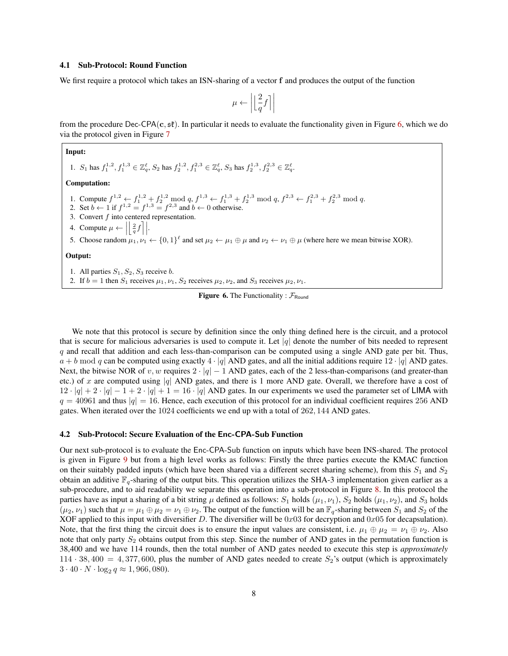#### <span id="page-7-1"></span>4.1 Sub-Protocol: Round Function

We first require a protocol which takes an ISN-sharing of a vector f and produces the output of the function

$$
\mu \leftarrow \left| \left\lfloor \frac{2}{q} f \right\rceil \right|
$$

from the procedure Dec-CPA(c,  $s\ell$ ). In particular it needs to evaluate the functionality given in Figure [6,](#page-7-0) which we do via the protocol given in Figure [7](#page-8-0)

#### Input:

1.  $S_1$  has  $f_1^{1,2}, f_1^{1,3} \in \mathbb{Z}_q^{\ell}$ ,  $S_2$  has  $f_2^{1,2}, f_1^{2,3} \in \mathbb{Z}_q^{\ell}$ ,  $S_3$  has  $f_2^{1,3}, f_2^{2,3} \in \mathbb{Z}_q^{\ell}$ .

#### Computation:

- 1. Compute  $f^{1,2} \leftarrow f_1^{1,2} + f_2^{1,2} \mod q$ ,  $f^{1,3} \leftarrow f_1^{1,3} + f_2^{1,3} \mod q$ ,  $f^{2,3} \leftarrow f_1^{2,3} + f_2^{2,3} \mod q$ .
- 2. Set  $b \leftarrow 1$  if  $f^{1,2} = f^{1,3} = f^{2,3}$  and  $b \leftarrow 0$  otherwise.
- 3. Convert  $f$  into centered representation.
- 4. Compute  $\mu \leftarrow$  $\left\lfloor \frac{2}{q}f\right\rceil \right\rfloor$ .
- 5. Choose random  $\mu_1, \nu_1 \leftarrow \{0,1\}^{\ell}$  and set  $\mu_2 \leftarrow \mu_1 \oplus \mu$  and  $\nu_2 \leftarrow \nu_1 \oplus \mu$  (where here we mean bitwise XOR).

#### Output:

1. All parties  $S_1, S_2, S_3$  receive b.

2. If  $b = 1$  then  $S_1$  receives  $\mu_1, \nu_1, S_2$  receives  $\mu_2, \nu_2$ , and  $S_3$  receives  $\mu_2, \nu_1$ .

<span id="page-7-0"></span>

We note that this protocol is secure by definition since the only thing defined here is the circuit, and a protocol that is secure for malicious adversaries is used to compute it. Let  $|q|$  denote the number of bits needed to represent q and recall that addition and each less-than-comparison can be computed using a single AND gate per bit. Thus,  $a + b \mod q$  can be computed using exactly  $4 \cdot |q|$  AND gates, and all the initial additions require  $12 \cdot |q|$  AND gates. Next, the bitwise NOR of v, w requires  $2 \cdot |q| - 1$  AND gates, each of the 2 less-than-comparisons (and greater-than etc.) of x are computed using |q| AND gates, and there is 1 more AND gate. Overall, we therefore have a cost of  $12 \cdot |q| + 2 \cdot |q| - 1 + 2 \cdot |q| + 1 = 16 \cdot |q|$  AND gates. In our experiments we used the parameter set of LIMA with  $q = 40961$  and thus  $|q| = 16$ . Hence, each execution of this protocol for an individual coefficient requires 256 AND gates. When iterated over the 1024 coefficients we end up with a total of 262, 144 AND gates.

#### 4.2 Sub-Protocol: Secure Evaluation of the Enc-CPA-Sub Function

Our next sub-protocol is to evaluate the Enc-CPA-Sub function on inputs which have been INS-shared. The protocol is given in Figure [9](#page-10-0) but from a high level works as follows: Firstly the three parties execute the KMAC function on their suitably padded inputs (which have been shared via a different secret sharing scheme), from this  $S_1$  and  $S_2$ obtain an additive  $\mathbb{F}_q$ -sharing of the output bits. This operation utilizes the SHA-3 implementation given earlier as a sub-procedure, and to aid readability we separate this operation into a sub-protocol in Figure [8.](#page-9-0) In this protocol the parties have as input a sharing of a bit string  $\mu$  defined as follows:  $S_1$  holds  $(\mu_1, \nu_1)$ ,  $S_2$  holds  $(\mu_1, \nu_2)$ , and  $S_3$  holds  $(\mu_2, \nu_1)$  such that  $\mu = \mu_1 \oplus \mu_2 = \nu_1 \oplus \nu_2$ . The output of the function will be an  $\mathbb{F}_q$ -sharing between  $S_1$  and  $S_2$  of the XOF applied to this input with diversifier D. The diversifier will be  $0x03$  for decryption and  $0x05$  for decapsulation). Note, that the first thing the circuit does is to ensure the input values are consistent, i.e.  $\mu_1 \oplus \mu_2 = \nu_1 \oplus \nu_2$ . Also note that only party  $S_2$  obtains output from this step. Since the number of AND gates in the permutation function is 38,400 and we have 114 rounds, then the total number of AND gates needed to execute this step is *approximately*  $114 \cdot 38,400 = 4,377,600$ , plus the number of AND gates needed to create  $S_2$ 's output (which is approximately  $3 \cdot 40 \cdot N \cdot \log_2 q \approx 1,966,080.$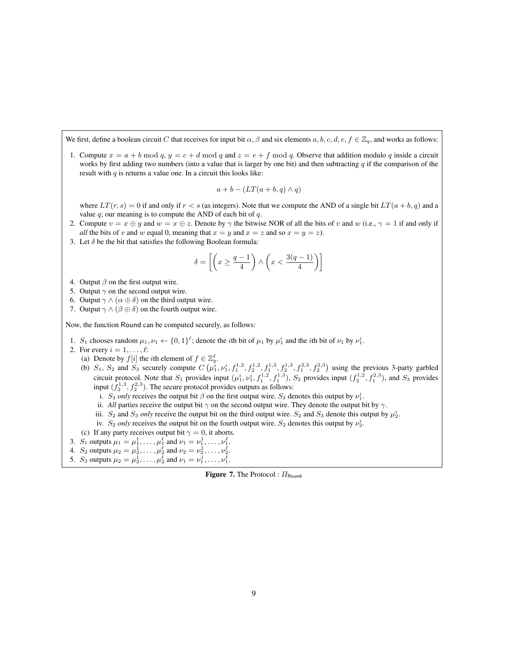We first, define a boolean circuit C that receives for input bit  $\alpha, \beta$  and six elements  $a, b, c, d, e, f \in \mathbb{Z}_q$ , and works as follows:

1. Compute  $x = a + b \mod q$ ,  $y = c + d \mod q$  and  $z = e + f \mod q$ . Observe that addition modulo q inside a circuit works by first adding two numbers (into a value that is larger by one bit) and then subtracting  $q$  if the comparison of the result with  $q$  is returns a value one. In a circuit this looks like:

$$
a + b - (LT(a + b, q) \wedge q)
$$

where  $LT(r, s) = 0$  if and only if  $r < s$  (as integers). Note that we compute the AND of a single bit  $LT(a + b, q)$  and a value  $q$ ; our meaning is to compute the AND of each bit of  $q$ .

- 2. Compute  $v = x \oplus y$  and  $w = x \oplus z$ . Denote by  $\gamma$  the bitwise NOR of all the bits of v and w (i.e.,  $\gamma = 1$  if and only if *all* the bits of v and w equal 0, meaning that  $x = y$  and  $x = z$  and so  $x = y = z$ ).
- 3. Let  $\delta$  be the bit that satisfies the following Boolean formula:

$$
\delta = \left[ \left( x \ge \frac{q-1}{4} \right) \wedge \left( x < \frac{3(q-1)}{4} \right) \right]
$$

- 4. Output  $\beta$  on the first output wire.
- 5. Output  $\gamma$  on the second output wire.
- 6. Output  $\gamma \wedge (\alpha \oplus \delta)$  on the third output wire.
- 7. Output  $\gamma \wedge (\beta \oplus \delta)$  on the fourth output wire.

Now, the function Round can be computed securely, as follows:

- 1. S<sub>1</sub> chooses random  $\mu_1, \nu_1 \leftarrow \{0,1\}^{\ell}$ ; denote the *i*th bit of  $\mu_1$  by  $\mu_1^i$  and the *i*th bit of  $\nu_1$  by  $\nu_1^i$ .
- 2. For every  $i = 1, \ldots, \ell$ :
	- (a) Denote by  $f[i]$  the *i*th element of  $f \in \mathbb{Z}_q^{\ell}$ .
	- (b)  $S_1$ ,  $S_2$  and  $S_3$  securely compute  $C(\mu_1^i, \nu_1^i, f_1^{1,2}, f_2^{1,2}, f_1^{1,3}, f_2^{1,3}, f_1^{2,3}, f_2^{2,3})$  using the previous 3-party garbled circuit protocol. Note that  $S_1$  provides input  $(\mu_1^i, \nu_1^i, f_1^{1,2}, f_1^{1,3})$ ,  $S_2$  provides input  $(f_2^{1,2}, f_1^{2,3})$ , and  $S_3$  provides input  $(\hat{f}_2^{1,3}, f_2^{2,3})$ . The secure protocol provides outputs as follows:
		- i. S<sub>3</sub> only receives the output bit  $\beta$  on the first output wire. S<sub>3</sub> denotes this output by  $\nu_1^i$ .
		- ii. *All* parties receive the output bit  $\gamma$  on the second output wire. They denote the output bit by  $\gamma$ .
		- iii.  $S_2$  and  $S_3$  *only* receive the output bit on the third output wire.  $S_2$  and  $S_3$  denote this output by  $\mu_2^i$ .
		- iv.  $S_2$  *only* receives the output bit on the fourth output wire.  $S_2$  denotes this output by  $\nu_2^i$ .
- (c) If any party receives output bit  $\gamma = 0$ , it aborts.
- 3.  $S_1$  outputs  $\mu_1 = \mu_1^1, \dots, \mu_1^\ell$  and  $\nu_1 = \nu_1^1, \dots, \nu_1^\ell$ .
- 4.  $S_2$  outputs  $\mu_2 = \mu_2^1, \dots, \mu_2^\ell$  and  $\nu_2 = \nu_2^1, \dots, \nu_2^\ell$ .
- 5.  $S_3$  outputs  $\mu_2 = \mu_2^1, \dots, \mu_2^\ell$  and  $\nu_1 = \nu_1^1, \dots, \nu_1^\ell$ .

<span id="page-8-0"></span>**Figure 7.** The Protocol :  $\Pi_{\text{Round}}$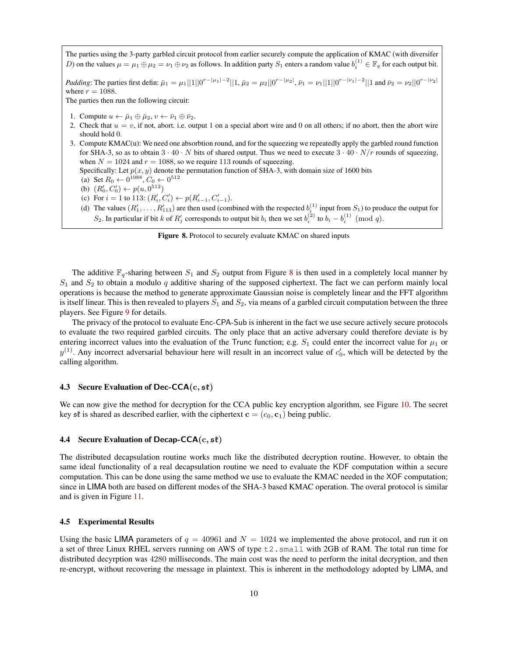The parties using the 3-party garbled circuit protocol from earlier securely compute the application of KMAC (with diversifer D) on the values  $\mu = \mu_1 \oplus \mu_2 = \nu_1 \oplus \nu_2$  as follows. In addition party  $S_1$  enters a random value  $b_i^{(1)} \in \mathbb{F}_q$  for each output bit.

*Padding*: The parties first defin:  $\bar{\mu}_1 = \mu_1 ||1||0^{r-|\mu_1|-2}||1$ ,  $\bar{\mu}_2 = \mu_2 ||0^{r-|\mu_2|}$ ,  $\bar{\nu}_1 = \nu_1 ||1||0^{r-|\nu_1|-2}||1$  and  $\bar{\nu}_2 = \nu_2 ||0^{r-|\nu_2|}$ where  $r = 1088$ .

The parties then run the following circuit:

- 1. Compute  $u \leftarrow \bar{\mu}_1 \oplus \bar{\mu}_2, v \leftarrow \bar{\nu}_1 \oplus \bar{\nu}_2$ .
- 2. Check that  $u = v$ , if not, abort. i.e. output 1 on a special abort wire and 0 on all others; if no abort, then the abort wire should hold 0.
- 3. Compute KMAC(u): We need one absorbtion round, and for the squeezing we repeatedly apply the garbled round function for SHA-3, so as to obtain  $3 \cdot 40 \cdot N$  bits of shared output. Thus we need to execute  $3 \cdot 40 \cdot N/r$  rounds of squeezing, when  $N = 1024$  and  $r = 1088$ , so we require 113 rounds of squeezing.

Specifically: Let  $p(x, y)$  denote the permutation function of SHA-3, with domain size of 1600 bits

- (a) Set  $R_0 \leftarrow 0^{1088}, C_0 \leftarrow 0^{512}$
- (b)  $(R'_0, C'_0) \leftarrow p(u, 0^{512})$
- (c) For  $i = 1$  to 113:  $(R'_i, C'_i) \leftarrow p(R'_{i-1}, C'_{i-1})$ .
- (d) The values  $(R'_1, \ldots, R'_{113})$  are then used (combined with the respected  $b_i^{(1)}$  input from  $S_1$ ) to produce the output for S<sub>2</sub>. In particular if bit k of  $R'_j$  corresponds to output bit  $b_i$  then we set  $b_i^{(2)}$  to  $b_i - b_i^{(1)} \pmod{q}$ .

<span id="page-9-0"></span>Figure 8. Protocol to securely evaluate KMAC on shared inputs

The additive  $\mathbb{F}_q$ -sharing between  $S_1$  and  $S_2$  output from Figure [8](#page-9-0) is then used in a completely local manner by  $S_1$  and  $S_2$  to obtain a modulo q additive sharing of the supposed ciphertext. The fact we can perform mainly local operations is because the method to generate approximate Gaussian noise is completely linear and the FFT algorithm is itself linear. This is then revealed to players  $S_1$  and  $S_2$ , via means of a garbled circuit computation between the three players. See Figure [9](#page-10-0) for details.

The privacy of the protocol to evaluate Enc-CPA-Sub is inherent in the fact we use secure actively secure protocols to evaluate the two required garbled circuits. The only place that an active adversary could therefore deviate is by entering incorrect values into the evaluation of the Trunc function; e.g.  $S_1$  could enter the incorrect value for  $\mu_1$  or  $y^{(1)}$ . Any incorrect adversarial behaviour here will result in an incorrect value of  $c'_0$ , which will be detected by the calling algorithm.

#### 4.3 Secure Evaluation of Dec-CCA $(c, s^2)$

We can now give the method for decryption for the CCA public key encryption algorithm, see Figure [10.](#page-10-1) The secret key st is shared as described earlier, with the ciphertext  $\mathbf{c} = (c_0, \mathbf{c}_1)$  being public.

#### 4.4 Secure Evaluation of Decap-CCA $(c, s^2)$

The distributed decapsulation routine works much like the distributed decryption routine. However, to obtain the same ideal functionality of a real decapsulation routine we need to evaluate the KDF computation within a secure computation. This can be done using the same method we use to evaluate the KMAC needed in the XOF computation; since in LIMA both are based on different modes of the SHA-3 based KMAC operation. The overal protocol is similar and is given in Figure [11.](#page-11-0)

#### 4.5 Experimental Results

Using the basic LIMA parameters of  $q = 40961$  and  $N = 1024$  we implemented the above protocol, and run it on a set of three Linux RHEL servers running on AWS of type t2.small with 2GB of RAM. The total run time for distributed decyrption was 4280 milliseconds. The main cost was the need to perform the inital decryption, and then re-encrypt, without recovering the message in plaintext. This is inherent in the methodology adopted by LIMA, and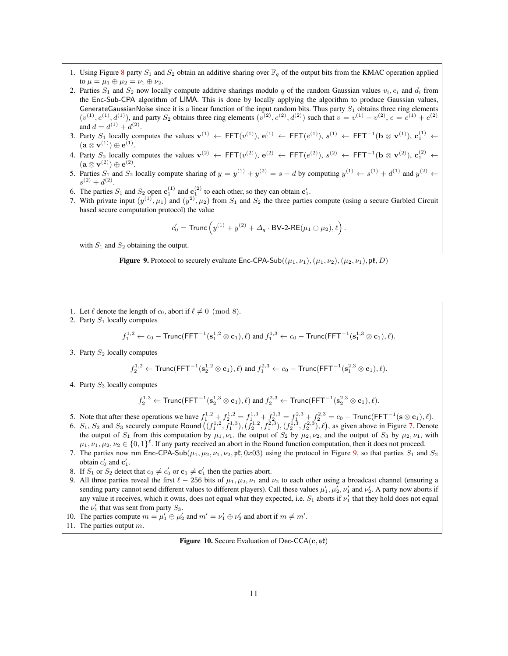- 1. Using Figure [8](#page-9-0) party  $S_1$  and  $S_2$  obtain an additive sharing over  $\mathbb{F}_q$  of the output bits from the KMAC operation applied to  $\mu = \mu_1 \oplus \mu_2 = \nu_1 \oplus \nu_2$ .
- 2. Parties  $S_1$  and  $S_2$  now locally compute additive sharings modulo q of the random Gaussian values  $v_i, e_i$  and  $d_i$  from the Enc-Sub-CPA algorithm of LIMA. This is done by locally applying the algorithm to produce Gaussian values, GenerateGaussianNoise since it is a linear function of the input random bits. Thus party  $S_1$  obtains three ring elements  $(v^{(1)}, e^{(1)}, d^{(1)})$ , and party  $S_2$  obtains three ring elements  $(v^{(2)}, e^{(2)}, d^{(2)})$  such that  $v = v^{(1)} + v^{(2)}, e = e^{(1)} + e^{(2)}$ and  $d = d^{(1)} + d^{(2)}$ .
- 3. Party  $S_1$  locally computes the values  $\mathbf{v}^{(1)} \leftarrow \text{FFT}(v^{(1)})$ ,  $\mathbf{e}^{(1)} \leftarrow \text{FFT}(e^{(1)})$ ,  $s^{(1)} \leftarrow \text{FFT}^{-1}(\mathbf{b} \otimes \mathbf{v}^{(1)})$ ,  $\mathbf{c}_1^{(1)} \leftarrow \text{FFT}^{-1}(\mathbf{b} \otimes \mathbf{v}^{(1)})$  $(\mathbf{a} \otimes \mathbf{v}^{(1)}) \oplus \mathbf{e}^{(1)}.$
- 4. Party  $S_2$  locally computes the values  $\mathbf{v}^{(2)} \leftarrow \text{FFT}(v^{(2)})$ ,  $\mathbf{e}^{(2)} \leftarrow \text{FFT}(e^{(2)})$ ,  $s^{(2)} \leftarrow \text{FFT}^{-1}(\mathbf{b} \otimes \mathbf{v}^{(2)})$ ,  $\mathbf{c}_1^{(2)} \leftarrow \text{FFT}^{-1}(\mathbf{b} \otimes \mathbf{v}^{(2)})$  $(\mathbf{a} \otimes \mathbf{v}^{(2)}) \oplus \mathbf{e}^{(2)}.$
- 5. Parties  $S_1$  and  $S_2$  locally compute sharing of  $y = y^{(1)} + y^{(2)} = s + d$  by computing  $y^{(1)} \leftarrow s^{(1)} + d^{(1)}$  and  $y^{(2)} \leftarrow$  $s^{(2)} + d^{(2)}$ .
- 6. The parties  $S_1$  and  $S_2$  open  $\mathbf{c}_1^{(1)}$  and  $\mathbf{c}_1^{(2)}$  to each other, so they can obtain  $\mathbf{c}_1'$ .
- 7. With private input  $(y^{(1)}, \mu_1)$  and  $(y^{(2)}, \mu_2)$  from  $S_1$  and  $S_2$  the three parties compute (using a secure Garbled Circuit based secure computation protocol) the value

$$
c'_0 = \text{Trunc}\left(y^{(1)} + y^{(2)} + \Delta_q \cdot \text{BV-2-RE}(\mu_1 \oplus \mu_2), \ell\right).
$$

with  $S_1$  and  $S_2$  obtaining the output.

<span id="page-10-0"></span>**Figure 9.** Protocol to securely evaluate  $Enc-CPA-Sub((\mu_1, \nu_1),(\mu_1, \nu_2),(\mu_2, \nu_1), \mathfrak{pk}, D)$ 

- 1. Let  $\ell$  denote the length of  $c_0$ , abort if  $\ell \neq 0 \pmod{8}$ .
- 2. Party  $S_1$  locally computes

$$
f_1^{1,2} \leftarrow c_0 - \text{Trunc}(\text{FFT}^{-1}(\mathbf{s}_1^{1,2} \otimes \mathbf{c}_1), \ell) \text{ and } f_1^{1,3} \leftarrow c_0 - \text{Trunc}(\text{FFT}^{-1}(\mathbf{s}_1^{1,3} \otimes \mathbf{c}_1), \ell).
$$

3. Party  $S_2$  locally computes

$$
f_2^{1,2}\leftarrow \mathsf{Trunc}(\mathsf{FFT}^{-1}(\mathbf{s}_2^{1,2}\otimes \mathbf{c}_1),\ell) \text{ and } f_1^{2,3}\leftarrow c_0-\mathsf{Trunc}(\mathsf{FFT}^{-1}(\mathbf{s}_1^{2,3}\otimes \mathbf{c}_1),\ell).
$$

4. Party  $S_3$  locally computes

$$
f_2^{1,3}\leftarrow \mathsf{Trunc}(\mathsf{FFT}^{-1}(\mathbf{s}_2^{1,3}\otimes \mathbf{c}_1),\ell) \text{ and } f_2^{2,3}\leftarrow \mathsf{Trunc}(\mathsf{FFT}^{-1}(\mathbf{s}_2^{2,3}\otimes \mathbf{c}_1),\ell).
$$

- 5. Note that after these operations we have  $f_1^{1,2} + f_2^{1,2} = f_1^{1,3} + f_2^{1,3} = f_1^{2,3} + f_2^{2,3} = c_0 \text{Trunc}( \text{FFT}^{-1}(\mathbf{s} \otimes \mathbf{c}_1), \ell).$
- 6.  $S_1$ ,  $S_2$  and  $S_3$  securely compute Round  $((f_1^{1,2}, f_1^{1,3}), (f_2^{1,2}, f_1^{2,3}), (f_2^{1,3}, f_2^{2,3}), \ell)$ , as given above in Figure [7.](#page-8-0) Denote the output of  $S_1$  from this computation by  $\mu_1, \nu_1$ , the output of  $S_2$  by  $\mu_2, \nu_2$ , and the output of  $S_3$  by  $\mu_2, \nu_1$ , with  $\mu_1, \nu_1, \mu_2, \nu_2 \in \{0,1\}^{\ell}$ . If any party received an abort in the Round function computation, then it does not proceed.
- 7. The parties now run Enc-CPA-Sub( $\mu_1, \mu_2, \nu_1, \nu_2, \mathfrak{pk}, 0x03$ ) using the protocol in Figure [9,](#page-10-0) so that parties  $S_1$  and  $S_2$ obtain  $c'_0$  and  $\mathbf{c}'_1$ .
- 8. If  $S_1$  or  $S_2$  detect that  $c_0 \neq c'_0$  or  $\mathbf{c}_1 \neq \mathbf{c}'_1$  then the parties abort.
- 9. All three parties reveal the first  $\ell 256$  bits of  $\mu_1, \mu_2, \nu_1$  and  $\nu_2$  to each other using a broadcast channel (ensuring a sending party cannot send different values to different players). Call these values  $\mu_1',\mu_2',\nu_1'$  and  $\nu_2'$ . A party now aborts if any value it receives, which it owns, does not equal what they expected, i.e.  $S_1$  aborts if  $\nu'_1$  that they hold does not equal the  $\nu'_1$  that was sent from party  $S_3$ .
- 10. The parties compute  $m = \mu'_1 \oplus \mu'_2$  and  $m' = \nu'_1 \oplus \nu'_2$  and abort if  $m \neq m'$ .
- 11. The parties output m.

<span id="page-10-1"></span>Figure 10. Secure Evaluation of Dec-CCA $(c, s f)$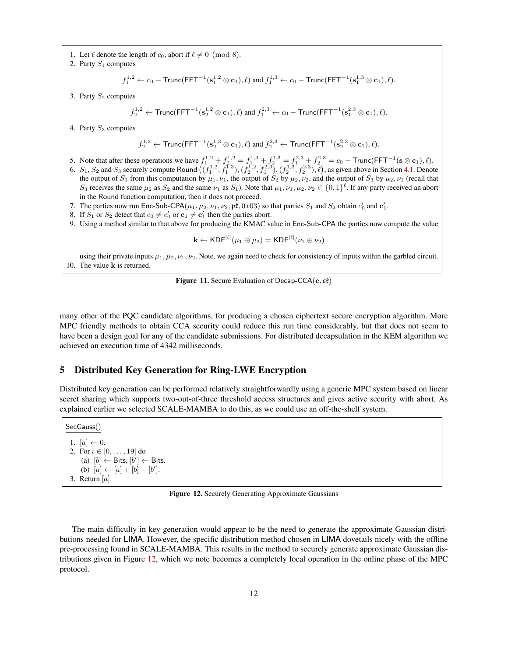- 1. Let  $\ell$  denote the length of  $c_0$ , abort if  $\ell \neq 0 \pmod{8}$ .
- 2. Party  $S_1$  computes

$$
f_1^{1,2} \leftarrow c_0-\mathsf{Trunc}(\mathsf{FFT}^{-1}(\mathbf{s}_1^{1,2}\otimes \mathbf{c}_1),\ell) \text{ and } f_1^{1,3} \leftarrow c_0-\mathsf{Trunc}(\mathsf{FFT}^{-1}(\mathbf{s}_1^{1,3}\otimes \mathbf{c}_1),\ell).
$$

3. Party  $S_2$  computes

$$
f_2^{1,2} \leftarrow \mathsf{Trunc}(\mathsf{FFT}^{-1}(\mathbf{s}_2^{1,2}\otimes \mathbf{c}_1),\ell) \text{ and } f_1^{2,3} \leftarrow c_0-\mathsf{Trunc}(\mathsf{FFT}^{-1}(\mathbf{s}_1^{2,3}\otimes \mathbf{c}_1),\ell).
$$

4. Party  $S_3$  computes

$$
f_2^{1,3} \leftarrow \mathsf{Trunc}(\mathsf{FFT}^{-1}(\mathbf{s}_2^{1,3} \otimes \mathbf{c}_1), \ell) \text{ and } f_2^{2,3} \leftarrow \mathsf{Trunc}(\mathsf{FFT}^{-1}(\mathbf{s}_2^{2,3} \otimes \mathbf{c}_1), \ell).
$$

- 5. Note that after these operations we have  $f_1^{1,2} + f_2^{1,2} = f_1^{1,3} + f_2^{1,3} = f_1^{2,3} + f_2^{2,3} = c_0 \text{Trunc}(\text{FFT}^{-1}(\textbf{s} \otimes \textbf{c}_1), \ell).$
- 6.  $S_1$ ,  $S_2$  and  $S_3$  securely compute Round  $((f_1^{1,2}, f_1^{1,3}), (f_2^{1,2}, f_1^{2,3}), (f_2^{1,3}, f_2^{2,3}), \ell)$ , as given above in Section [4.1.](#page-7-1) Denote the output of  $S_1$  from this computation by  $\mu_1, \nu_1$ , the output of  $S_2$  by  $\mu_2, \nu_2$ , and the output of  $S_3$  by  $\mu_2, \nu_1$  (recall that  $S_3$  receives the same  $\mu_2$  as  $S_2$  and the same  $\nu_1$  as  $S_1$ ). Note that  $\mu_1, \nu_1, \mu_2, \nu_2 \in \{0,1\}^{\ell}$ . If any party received an abort in the Round function computation, then it does not proceed.
- 7. The parties now run Enc-Sub-CPA $(\mu_1, \mu_2, \nu_1, \nu_2, \mathfrak{pk}, 0x03)$  so that parties  $S_1$  and  $S_2$  obtain  $c'_0$  and  $c'_1$ .
- 8. If  $S_1$  or  $S_2$  detect that  $c_0 \neq c'_0$  or  $c_1 \neq c'_1$  then the parties abort.
- 9. Using a method similar to that above for producing the KMAC value in Enc-Sub-CPA the parties now compute the value

$$
\mathbf{k} \leftarrow \mathsf{KDF}^{[\ell]}(\mu_1 \oplus \mu_2) = \mathsf{KDF}^{[\ell]}(\nu_1 \oplus \nu_2)
$$

using their private inputs  $\mu_1, \mu_2, \nu_1, \nu_2$ . Note, we again need to check for consistency of inputs within the garbled circuit. 10. The value k is returned.

<span id="page-11-0"></span>**Figure 11.** Secure Evaluation of Decap-CCA $(c, s\ell)$ 

many other of the PQC candidate algorithms, for producing a chosen ciphertext secure encryption algorithm. More MPC friendly methods to obtain CCA security could reduce this run time considerably, but that does not seem to have been a design goal for any of the candidate submissions. For distributed decapsulation in the KEM algorithm we achieved an execution time of 4342 milliseconds.

## 5 Distributed Key Generation for Ring-LWE Encryption

Distributed key generation can be performed relatively straightforwardly using a generic MPC system based on linear secret sharing which supports two-out-of-three threshold access structures and gives active security with abort. As explained earlier we selected SCALE-MAMBA to do this, as we could use an off-the-shelf system.

SecGauss() 1.  $[a] \leftarrow 0$ . 2. For  $i \in [0, \ldots, 19]$  do (a)  $[b] \leftarrow$  Bits,  $[b'] \leftarrow$  Bits. (b)  $[a] \leftarrow [a] + [b] - [b']$ . 3. Return [a].

<span id="page-11-1"></span>Figure 12. Securely Generating Approximate Gaussians

The main difficulty in key generation would appear to be the need to generate the approximate Gaussian distributions needed for LIMA. However, the specific distribution method chosen in LIMA dovetails nicely with the offline pre-processing found in SCALE-MAMBA. This results in the method to securely generate approximate Gaussian distributions given in Figure [12,](#page-11-1) which we note becomes a completely local operation in the online phase of the MPC protocol.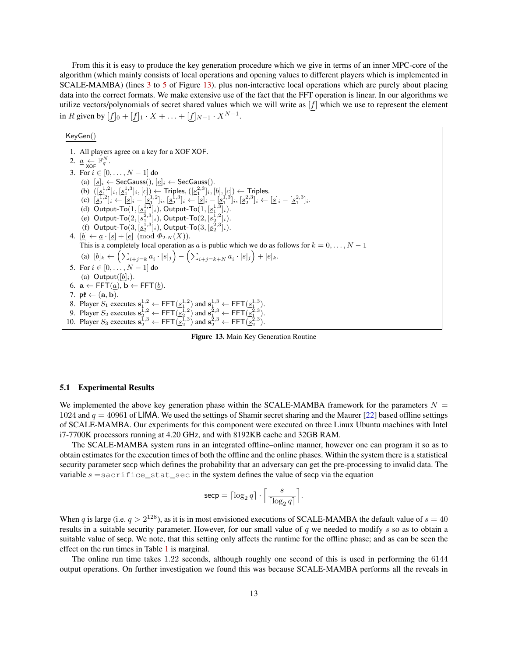From this it is easy to produce the key generation procedure which we give in terms of an inner MPC-core of the algorithm (which mainly consists of local operations and opening values to different players which is implemented in SCALE-MAMBA) (lines [3](#page-12-0) to [5](#page-12-1) of Figure [13\)](#page-12-2). plus non-interactive local operations which are purely about placing data into the correct formats. We make extensive use of the fact that the FFT operation is linear. In our algorithms we utilize vectors/polynomials of secret shared values which we will write as  $[f]$  which we use to represent the element in R given by  $[f]_0 + [f]_1 \cdot X + \ldots + [f]_{N-1} \cdot X^{N-1}$ .

KeyGen()

<span id="page-12-1"></span><span id="page-12-0"></span>1. All players agree on a key for a XOF XOF. 2.  $\underline{a} \leftarrow \mathbb{F}_q^N$ . 3. For  $i \in [0, ..., N - 1]$  do (a)  $[s]_i \leftarrow$  SecGauss(),  $[e]_i \leftarrow$  SecGauss(). (b)  $([\underline{s}_1^{1,2}]_i, [\underline{s}_1^{1,3}]_i, [c]) \leftarrow$  Triples,  $([\underline{s}_1^{2,3}]_i, [b], [c]) \leftarrow$  Triples. (c)  $[\underline{s}_2^{1,2}]_i \leftarrow [\underline{s}]_i - [\underline{s}_1^{1,2}]_i, [\underline{s}_2^{1,3}]_i \leftarrow [\underline{s}]_i - [\underline{s}_1^{1,3}]_i, [\underline{s}_2^{2,3}]_i \leftarrow [\underline{s}]_i - [\underline{s}_1^{2,3}]_i.$ (d) Output-To $(1, [\underline{s_1^{1,2}}]_i)$ , Output-To $(1, [\underline{s_1^{1,3}}]_i)$ . (e) Output-To $(2, [\underline{s}_1^{\bar{2},3}]_i)$ , Output-To $(2, [\underline{s}_2^{\bar{1},2}]_i)$ . (f) Output-To $(3, [\underline{s}_2^{\bar{1},3}]_i)$ , Output-To $(3, [\underline{s}_2^{\bar{2},3}]_i)$ . 4.  $[\underline{b}] \leftarrow \underline{a} \cdot [\underline{s}] + [\underline{e}] \pmod{\Phi_{2\cdot N}(X)}$ . This is a completely local operation as  $\underline{a}$  is public which we do as follows for  $k = 0, ..., N - 1$ (a)  $[\underline{b}]_k \leftarrow \left( \sum_{i+j=k} \underline{a}_i \cdot [\underline{s}]_j \right) - \left( \sum_{i+j=k+N} \underline{a}_i \cdot [\underline{s}]_j \right) + [\underline{e}]_k.$ 5. For  $i \in [0, \ldots, N - 1]$  do (a) Output $([b]_i)$ . 6.  $\mathbf{a} \leftarrow \text{FFT}(\underline{a}), \mathbf{b} \leftarrow \text{FFT}(\underline{b}).$ 7.  $\mathfrak{pk} \leftarrow (\mathbf{a}, \mathbf{b}).$ 8. Player  $S_1$  executes  $\mathbf{s}_1^{1,2} \leftarrow \mathsf{FFT}(\underline{s}_1^{1,2})$  and  $\mathbf{s}_1^{1,3} \leftarrow \mathsf{FFT}(\underline{s}_1^{1,3})$ . 9. Player  $S_2$  executes  $\mathbf{s}_2^{\overline{1},2} \leftarrow \mathsf{FFT}(\underline{s}_2^{\overline{1},2})$  and  $\mathbf{s}_1^{\overline{2},3} \leftarrow \mathsf{FFT}(\underline{s}_1^{\overline{2},3})$ . 10. Player  $S_3$  executes  $\mathbf{s}_2^{\overline{1},3} \leftarrow \mathsf{FFT}(\mathbf{s}_2^{\overline{1},3})$  and  $\mathbf{s}_2^{\overline{2},3} \leftarrow \mathsf{FFT}(\mathbf{s}_2^{\overline{2},3})$ .

<span id="page-12-2"></span>Figure 13. Main Key Generation Routine

#### 5.1 Experimental Results

We implemented the above key generation phase within the SCALE-MAMBA framework for the parameters  $N =$ 1024 and  $q = 40961$  of LIMA. We used the settings of Shamir secret sharing and the Maurer [\[22\]](#page-14-13) based offline settings of SCALE-MAMBA. Our experiments for this component were executed on three Linux Ubuntu machines with Intel i7-7700K processors running at 4.20 GHz, and with 8192KB cache and 32GB RAM.

The SCALE-MAMBA system runs in an integrated offline–online manner, however one can program it so as to obtain estimates for the execution times of both the offline and the online phases. Within the system there is a statistical security parameter secp which defines the probability that an adversary can get the pre-processing to invalid data. The variable  $s =$ sacrifice\_stat\_sec in the system defines the value of secp via the equation

$$
\mathsf{secp} = \lceil \log_2 q \rceil \cdot \Big \lceil \frac{s}{\lceil \log_2 q \rceil} \Big \rceil.
$$

When q is large (i.e.  $q > 2^{128}$ ), as it is in most envisioned executions of SCALE-MAMBA the default value of  $s = 40$ results in a suitable security parameter. However, for our small value of  $q$  we needed to modify  $s$  so as to obtain a suitable value of secp. We note, that this setting only affects the runtime for the offline phase; and as can be seen the effect on the run times in Table [1](#page-13-11) is marginal.

The online run time takes 1.22 seconds, although roughly one second of this is used in performing the 6144 output operations. On further investigation we found this was because SCALE-MAMBA performs all the reveals in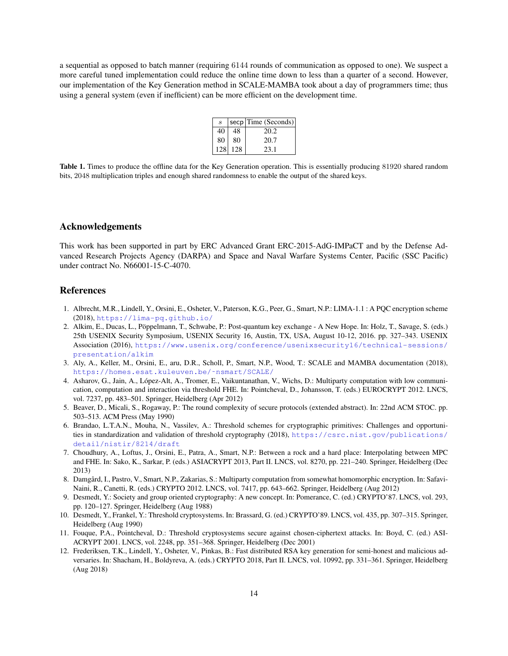a sequential as opposed to batch manner (requiring 6144 rounds of communication as opposed to one). We suspect a more careful tuned implementation could reduce the online time down to less than a quarter of a second. However, our implementation of the Key Generation method in SCALE-MAMBA took about a day of programmers time; thus using a general system (even if inefficient) can be more efficient on the development time.

| $\mathcal{S}_{\mathcal{S}}$ |         | secp   Time (Seconds) |
|-----------------------------|---------|-----------------------|
| 40                          | 48      | 20.2                  |
| 80                          | 80      | 20.7                  |
|                             | 128 128 | 23.1                  |

<span id="page-13-11"></span>Table 1. Times to produce the offline data for the Key Generation operation. This is essentially producing 81920 shared random bits, 2048 multiplication triples and enough shared randomness to enable the output of the shared keys.

## Acknowledgements

This work has been supported in part by ERC Advanced Grant ERC-2015-AdG-IMPaCT and by the Defense Advanced Research Projects Agency (DARPA) and Space and Naval Warfare Systems Center, Pacific (SSC Pacific) under contract No. N66001-15-C-4070.

## References

- <span id="page-13-9"></span>1. Albrecht, M.R., Lindell, Y., Orsini, E., Osheter, V., Paterson, K.G., Peer, G., Smart, N.P.: LIMA-1.1 : A PQC encryption scheme (2018), <https://lima-pq.github.io/>
- <span id="page-13-10"></span>2. Alkim, E., Ducas, L., Poppelmann, T., Schwabe, P.: Post-quantum key exchange - A New Hope. In: Holz, T., Savage, S. (eds.) ¨ 25th USENIX Security Symposium, USENIX Security 16, Austin, TX, USA, August 10-12, 2016. pp. 327–343. USENIX Association (2016), [https://www.usenix.org/conference/usenixsecurity16/technical-sessions/](https://www.usenix.org/conference/usenixsecurity16/technical-sessions/presentation/alkim) [presentation/alkim](https://www.usenix.org/conference/usenixsecurity16/technical-sessions/presentation/alkim)
- <span id="page-13-7"></span>3. Aly, A., Keller, M., Orsini, E., aru, D.R., Scholl, P., Smart, N.P., Wood, T.: SCALE and MAMBA documentation (2018), [https://homes.esat.kuleuven.be/˜nsmart/SCALE/](https://homes.esat.kuleuven.be/~nsmart/SCALE/)
- <span id="page-13-2"></span>4. Asharov, G., Jain, A., López-Alt, A., Tromer, E., Vaikuntanathan, V., Wichs, D.: Multiparty computation with low communication, computation and interaction via threshold FHE. In: Pointcheval, D., Johansson, T. (eds.) EUROCRYPT 2012. LNCS, vol. 7237, pp. 483–501. Springer, Heidelberg (Apr 2012)
- <span id="page-13-3"></span>5. Beaver, D., Micali, S., Rogaway, P.: The round complexity of secure protocols (extended abstract). In: 22nd ACM STOC. pp. 503–513. ACM Press (May 1990)
- <span id="page-13-6"></span>6. Brandao, L.T.A.N., Mouha, N., Vassilev, A.: Threshold schemes for cryptographic primitives: Challenges and opportunities in standardization and validation of threshold cryptography (2018), [https://csrc.nist.gov/publications/](https://csrc.nist.gov/publications/detail/nistir/8214/draft) [detail/nistir/8214/draft](https://csrc.nist.gov/publications/detail/nistir/8214/draft)
- <span id="page-13-4"></span>7. Choudhury, A., Loftus, J., Orsini, E., Patra, A., Smart, N.P.: Between a rock and a hard place: Interpolating between MPC and FHE. In: Sako, K., Sarkar, P. (eds.) ASIACRYPT 2013, Part II. LNCS, vol. 8270, pp. 221–240. Springer, Heidelberg (Dec 2013)
- <span id="page-13-5"></span>8. Damgård, I., Pastro, V., Smart, N.P., Zakarias, S.: Multiparty computation from somewhat homomorphic encryption. In: Safavi-Naini, R., Canetti, R. (eds.) CRYPTO 2012. LNCS, vol. 7417, pp. 643–662. Springer, Heidelberg (Aug 2012)
- <span id="page-13-0"></span>9. Desmedt, Y.: Society and group oriented cryptography: A new concept. In: Pomerance, C. (ed.) CRYPTO'87. LNCS, vol. 293, pp. 120–127. Springer, Heidelberg (Aug 1988)
- 10. Desmedt, Y., Frankel, Y.: Threshold cryptosystems. In: Brassard, G. (ed.) CRYPTO'89. LNCS, vol. 435, pp. 307–315. Springer, Heidelberg (Aug 1990)
- <span id="page-13-8"></span>11. Fouque, P.A., Pointcheval, D.: Threshold cryptosystems secure against chosen-ciphertext attacks. In: Boyd, C. (ed.) ASI-ACRYPT 2001. LNCS, vol. 2248, pp. 351–368. Springer, Heidelberg (Dec 2001)
- <span id="page-13-1"></span>12. Frederiksen, T.K., Lindell, Y., Osheter, V., Pinkas, B.: Fast distributed RSA key generation for semi-honest and malicious adversaries. In: Shacham, H., Boldyreva, A. (eds.) CRYPTO 2018, Part II. LNCS, vol. 10992, pp. 331–361. Springer, Heidelberg (Aug 2018)